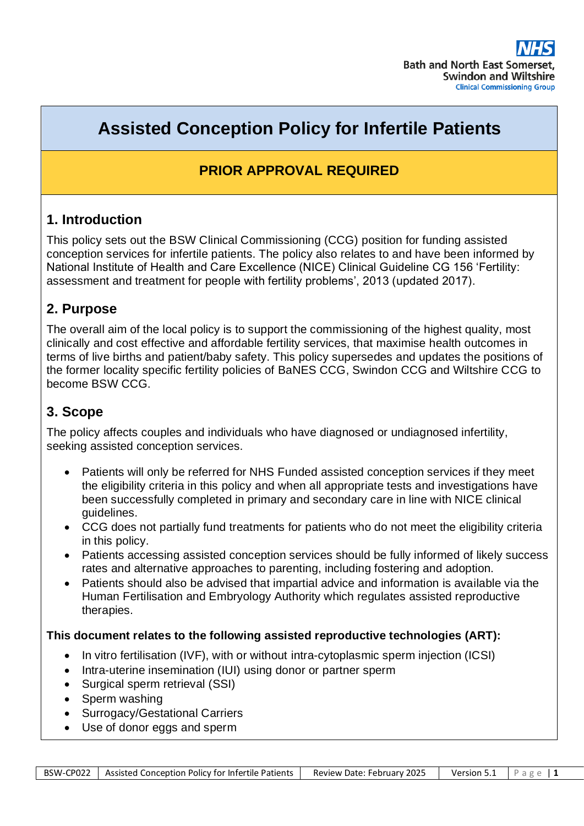# **Assisted Conception Policy for Infertile Patients**

# **PRIOR APPROVAL REQUIRED**

### **1. Introduction**

This policy sets out the BSW Clinical Commissioning (CCG) position for funding assisted conception services for infertile patients. The policy also relates to and have been informed by National Institute of Health and Care Excellence (NICE) Clinical Guideline CG 156 'Fertility: assessment and treatment for people with fertility problems', 2013 (updated 2017).

### **2. Purpose**

The overall aim of the local policy is to support the commissioning of the highest quality, most clinically and cost effective and affordable fertility services, that maximise health outcomes in terms of live births and patient/baby safety. This policy supersedes and updates the positions of the former locality specific fertility policies of BaNES CCG, Swindon CCG and Wiltshire CCG to become BSW CCG.

# **3. Scope**

The policy affects couples and individuals who have diagnosed or undiagnosed infertility, seeking assisted conception services.

- Patients will only be referred for NHS Funded assisted conception services if they meet the eligibility criteria in this policy and when all appropriate tests and investigations have been successfully completed in primary and secondary care in line with NICE clinical guidelines.
- CCG does not partially fund treatments for patients who do not meet the eligibility criteria in this policy.
- Patients accessing assisted conception services should be fully informed of likely success rates and alternative approaches to parenting, including fostering and adoption.
- Patients should also be advised that impartial advice and information is available via the Human Fertilisation and Embryology Authority which regulates assisted reproductive therapies.

### **This document relates to the following assisted reproductive technologies (ART):**

- In vitro fertilisation (IVF), with or without intra-cytoplasmic sperm injection (ICSI)
- Intra-uterine insemination (IUI) using donor or partner sperm
- Surgical sperm retrieval (SSI)
- Sperm washing
- Surrogacy/Gestational Carriers
- Use of donor eggs and sperm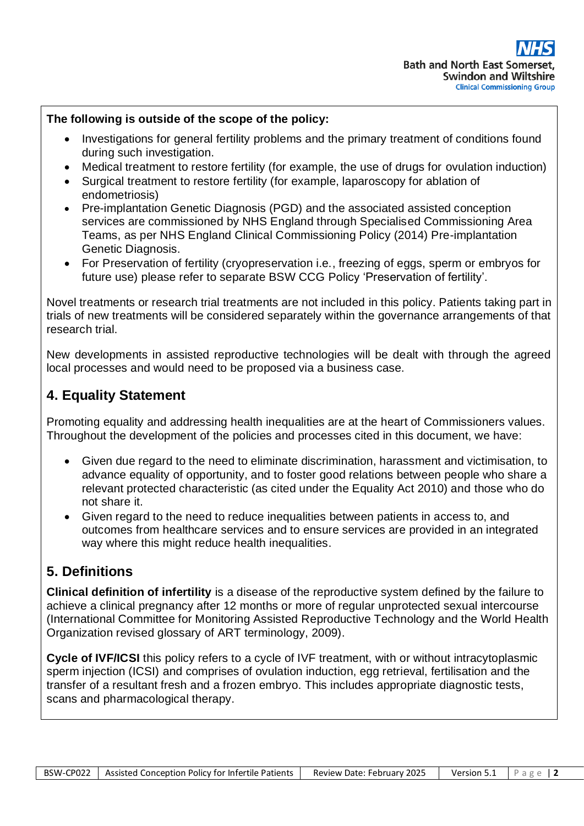#### **The following is outside of the scope of the policy:**

- Investigations for general fertility problems and the primary treatment of conditions found during such investigation.
- Medical treatment to restore fertility (for example, the use of drugs for ovulation induction)
- Surgical treatment to restore fertility (for example, laparoscopy for ablation of endometriosis)
- Pre-implantation Genetic Diagnosis (PGD) and the associated assisted conception services are commissioned by NHS England through Specialised Commissioning Area Teams, as per NHS England Clinical Commissioning Policy (2014) Pre-implantation Genetic Diagnosis.
- For Preservation of fertility (cryopreservation i.e., freezing of eggs, sperm or embryos for future use) please refer to separate BSW CCG Policy 'Preservation of fertility'.

Novel treatments or research trial treatments are not included in this policy. Patients taking part in trials of new treatments will be considered separately within the governance arrangements of that research trial.

New developments in assisted reproductive technologies will be dealt with through the agreed local processes and would need to be proposed via a business case.

# **4. Equality Statement**

Promoting equality and addressing health inequalities are at the heart of Commissioners values. Throughout the development of the policies and processes cited in this document, we have:

- Given due regard to the need to eliminate discrimination, harassment and victimisation, to advance equality of opportunity, and to foster good relations between people who share a relevant protected characteristic (as cited under the Equality Act 2010) and those who do not share it.
- Given regard to the need to reduce inequalities between patients in access to, and outcomes from healthcare services and to ensure services are provided in an integrated way where this might reduce health inequalities.

# **5. Definitions**

**Clinical definition of infertility** is a disease of the reproductive system defined by the failure to achieve a clinical pregnancy after 12 months or more of regular unprotected sexual intercourse (International Committee for Monitoring Assisted Reproductive Technology and the World Health Organization revised glossary of ART terminology, 2009).

**Cycle of IVF/ICSI** this policy refers to a cycle of IVF treatment, with or without intracytoplasmic sperm injection (ICSI) and comprises of ovulation induction, egg retrieval, fertilisation and the transfer of a resultant fresh and a frozen embryo. This includes appropriate diagnostic tests, scans and pharmacological therapy.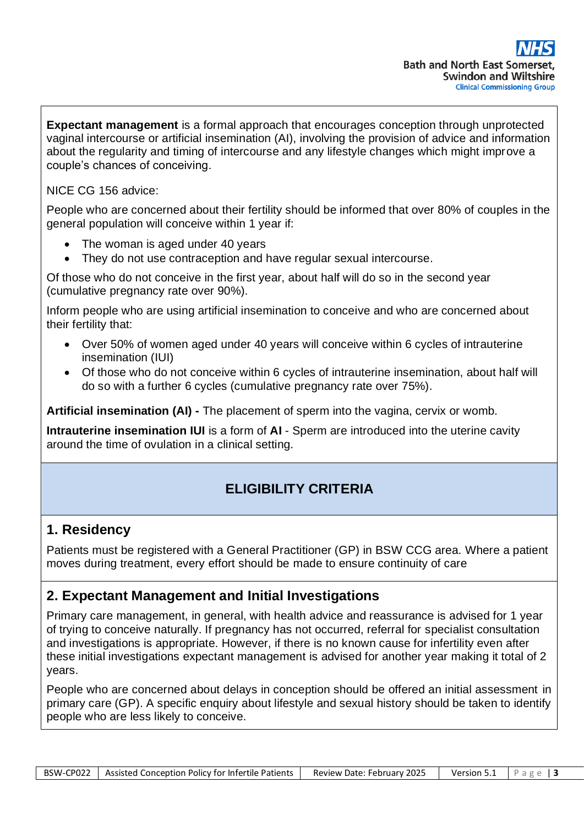**Expectant management** is a formal approach that encourages conception through unprotected vaginal intercourse or artificial insemination (AI), involving the provision of advice and information about the regularity and timing of intercourse and any lifestyle changes which might improve a couple's chances of conceiving.

NICE CG 156 advice:

People who are concerned about their fertility should be informed that over 80% of couples in the general population will conceive within 1 year if:

- The woman is aged under 40 years
- They do not use contraception and have regular sexual intercourse.

Of those who do not conceive in the first year, about half will do so in the second year (cumulative pregnancy rate over 90%).

Inform people who are using artificial insemination to conceive and who are concerned about their fertility that:

- Over 50% of women aged under 40 years will conceive within 6 cycles of intrauterine insemination (IUI)
- Of those who do not conceive within 6 cycles of intrauterine insemination, about half will do so with a further 6 cycles (cumulative pregnancy rate over 75%).

**Artificial insemination (AI) -** The placement of sperm into the vagina, cervix or womb.

**Intrauterine insemination IUI** is a form of **AI** - Sperm are introduced into the uterine cavity around the time of ovulation in a clinical setting.

# **ELIGIBILITY CRITERIA**

### **1. Residency**

Patients must be registered with a General Practitioner (GP) in BSW CCG area. Where a patient moves during treatment, every effort should be made to ensure continuity of care

### **2. Expectant Management and Initial Investigations**

Primary care management, in general, with health advice and reassurance is advised for 1 year of trying to conceive naturally. If pregnancy has not occurred, referral for specialist consultation and investigations is appropriate. However, if there is no known cause for infertility even after these initial investigations expectant management is advised for another year making it total of 2 years.

People who are concerned about delays in conception should be offered an initial assessment in primary care (GP). A specific enquiry about lifestyle and sexual history should be taken to identify people who are less likely to conceive.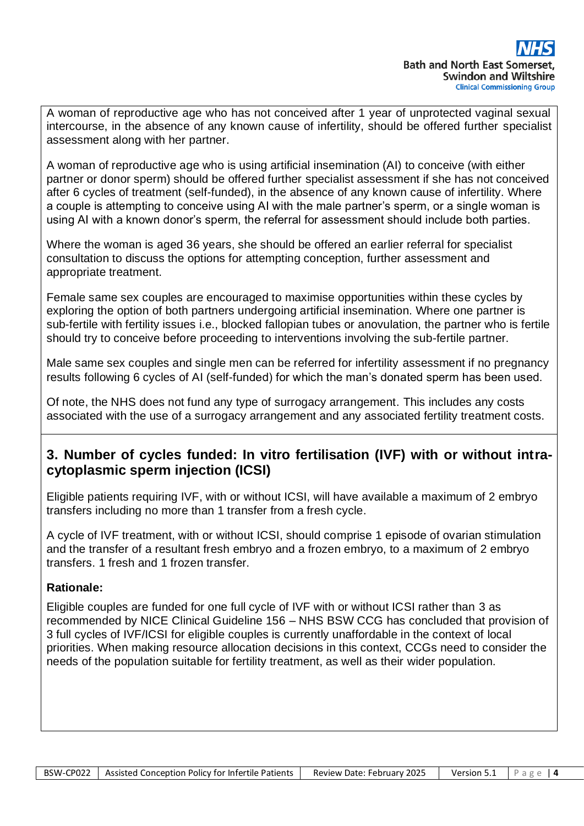A woman of reproductive age who has not conceived after 1 year of unprotected vaginal sexual intercourse, in the absence of any known cause of infertility, should be offered further specialist assessment along with her partner.

A woman of reproductive age who is using artificial insemination (AI) to conceive (with either partner or donor sperm) should be offered further specialist assessment if she has not conceived after 6 cycles of treatment (self-funded), in the absence of any known cause of infertility. Where a couple is attempting to conceive using AI with the male partner's sperm, or a single woman is using AI with a known donor's sperm, the referral for assessment should include both parties.

Where the woman is aged 36 years, she should be offered an earlier referral for specialist consultation to discuss the options for attempting conception, further assessment and appropriate treatment.

Female same sex couples are encouraged to maximise opportunities within these cycles by exploring the option of both partners undergoing artificial insemination. Where one partner is sub-fertile with fertility issues i.e., blocked fallopian tubes or anovulation, the partner who is fertile should try to conceive before proceeding to interventions involving the sub-fertile partner.

Male same sex couples and single men can be referred for infertility assessment if no pregnancy results following 6 cycles of AI (self-funded) for which the man's donated sperm has been used.

Of note, the NHS does not fund any type of surrogacy arrangement. This includes any costs associated with the use of a surrogacy arrangement and any associated fertility treatment costs.

### **3. Number of cycles funded: In vitro fertilisation (IVF) with or without intracytoplasmic sperm injection (ICSI)**

Eligible patients requiring IVF, with or without ICSI, will have available a maximum of 2 embryo transfers including no more than 1 transfer from a fresh cycle.

A cycle of IVF treatment, with or without ICSI, should comprise 1 episode of ovarian stimulation and the transfer of a resultant fresh embryo and a frozen embryo, to a maximum of 2 embryo transfers. 1 fresh and 1 frozen transfer.

### **Rationale:**

Eligible couples are funded for one full cycle of IVF with or without ICSI rather than 3 as recommended by NICE Clinical Guideline 156 – NHS BSW CCG has concluded that provision of 3 full cycles of IVF/ICSI for eligible couples is currently unaffordable in the context of local priorities. When making resource allocation decisions in this context, CCGs need to consider the needs of the population suitable for fertility treatment, as well as their wider population.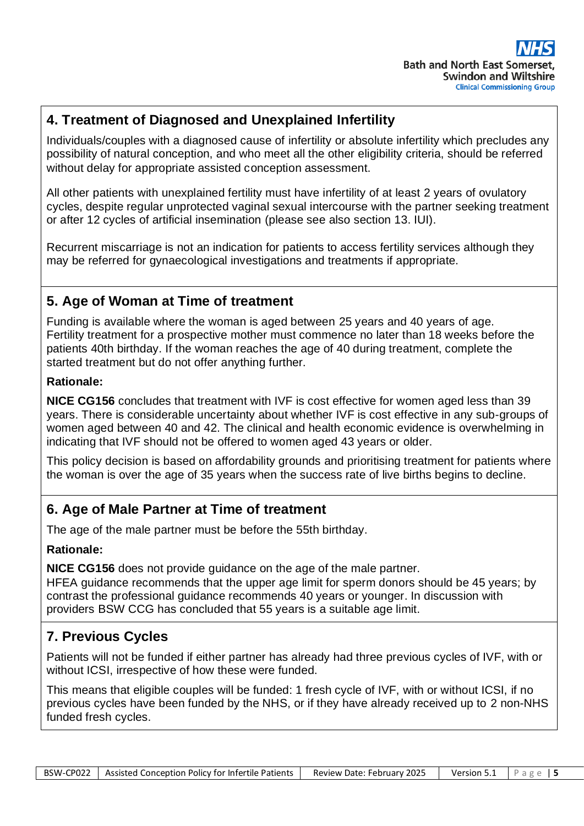# **4. Treatment of Diagnosed and Unexplained Infertility**

Individuals/couples with a diagnosed cause of infertility or absolute infertility which precludes any possibility of natural conception, and who meet all the other eligibility criteria, should be referred without delay for appropriate assisted conception assessment.

All other patients with unexplained fertility must have infertility of at least 2 years of ovulatory cycles, despite regular unprotected vaginal sexual intercourse with the partner seeking treatment or after 12 cycles of artificial insemination (please see also section 13. IUI).

Recurrent miscarriage is not an indication for patients to access fertility services although they may be referred for gynaecological investigations and treatments if appropriate.

# **5. Age of Woman at Time of treatment**

Funding is available where the woman is aged between 25 years and 40 years of age. Fertility treatment for a prospective mother must commence no later than 18 weeks before the patients 40th birthday. If the woman reaches the age of 40 during treatment, complete the started treatment but do not offer anything further.

#### **Rationale:**

**NICE CG156** concludes that treatment with IVF is cost effective for women aged less than 39 years. There is considerable uncertainty about whether IVF is cost effective in any sub-groups of women aged between 40 and 42. The clinical and health economic evidence is overwhelming in indicating that IVF should not be offered to women aged 43 years or older.

This policy decision is based on affordability grounds and prioritising treatment for patients where the woman is over the age of 35 years when the success rate of live births begins to decline.

### **6. Age of Male Partner at Time of treatment**

The age of the male partner must be before the 55th birthday.

### **Rationale:**

**NICE CG156** does not provide guidance on the age of the male partner.

HFEA guidance recommends that the upper age limit for sperm donors should be 45 years; by contrast the professional guidance recommends 40 years or younger. In discussion with providers BSW CCG has concluded that 55 years is a suitable age limit.

# **7. Previous Cycles**

Patients will not be funded if either partner has already had three previous cycles of IVF, with or without ICSI, irrespective of how these were funded.

This means that eligible couples will be funded: 1 fresh cycle of IVF, with or without ICSI, if no previous cycles have been funded by the NHS, or if they have already received up to 2 non-NHS funded fresh cycles.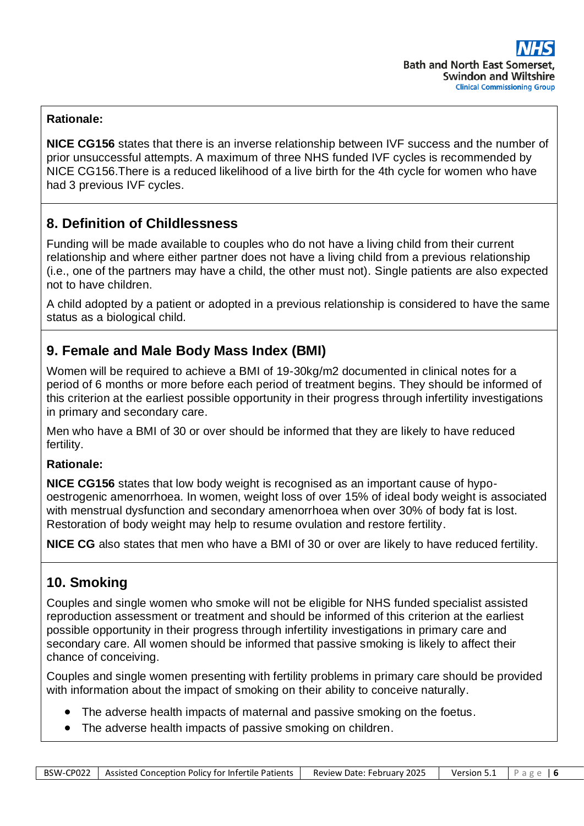#### **Rationale:**

**NICE CG156** states that there is an inverse relationship between IVF success and the number of prior unsuccessful attempts. A maximum of three NHS funded IVF cycles is recommended by NICE CG156.There is a reduced likelihood of a live birth for the 4th cycle for women who have had 3 previous IVF cycles.

### **8. Definition of Childlessness**

Funding will be made available to couples who do not have a living child from their current relationship and where either partner does not have a living child from a previous relationship (i.e., one of the partners may have a child, the other must not). Single patients are also expected not to have children.

A child adopted by a patient or adopted in a previous relationship is considered to have the same status as a biological child.

# **9. Female and Male Body Mass Index (BMI)**

Women will be required to achieve a BMI of 19-30kg/m2 documented in clinical notes for a period of 6 months or more before each period of treatment begins. They should be informed of this criterion at the earliest possible opportunity in their progress through infertility investigations in primary and secondary care.

Men who have a BMI of 30 or over should be informed that they are likely to have reduced fertility.

#### **Rationale:**

**NICE CG156** states that low body weight is recognised as an important cause of hypooestrogenic amenorrhoea. In women, weight loss of over 15% of ideal body weight is associated with menstrual dysfunction and secondary amenorrhoea when over 30% of body fat is lost. Restoration of body weight may help to resume ovulation and restore fertility.

**NICE CG** also states that men who have a BMI of 30 or over are likely to have reduced fertility.

### **10. Smoking**

Couples and single women who smoke will not be eligible for NHS funded specialist assisted reproduction assessment or treatment and should be informed of this criterion at the earliest possible opportunity in their progress through infertility investigations in primary care and secondary care. All women should be informed that passive smoking is likely to affect their chance of conceiving.

Couples and single women presenting with fertility problems in primary care should be provided with information about the impact of smoking on their ability to conceive naturally.

- The adverse health impacts of maternal and passive smoking on the foetus.
- The adverse health impacts of passive smoking on children.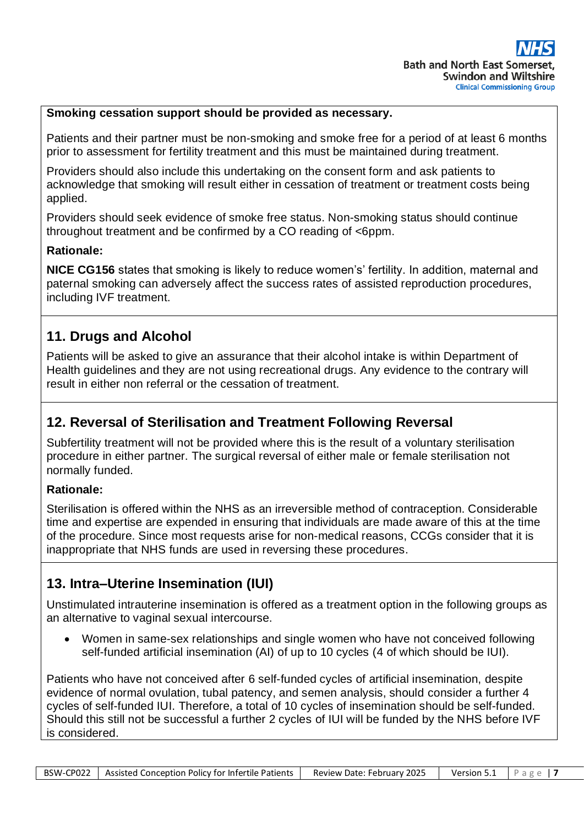#### **Smoking cessation support should be provided as necessary.**

Patients and their partner must be non-smoking and smoke free for a period of at least 6 months prior to assessment for fertility treatment and this must be maintained during treatment.

Providers should also include this undertaking on the consent form and ask patients to acknowledge that smoking will result either in cessation of treatment or treatment costs being applied.

Providers should seek evidence of smoke free status. Non-smoking status should continue throughout treatment and be confirmed by a CO reading of <6ppm.

#### **Rationale:**

**NICE CG156** states that smoking is likely to reduce women's' fertility. In addition, maternal and paternal smoking can adversely affect the success rates of assisted reproduction procedures, including IVF treatment.

### **11. Drugs and Alcohol**

Patients will be asked to give an assurance that their alcohol intake is within Department of Health guidelines and they are not using recreational drugs. Any evidence to the contrary will result in either non referral or the cessation of treatment.

### **12. Reversal of Sterilisation and Treatment Following Reversal**

Subfertility treatment will not be provided where this is the result of a voluntary sterilisation procedure in either partner. The surgical reversal of either male or female sterilisation not normally funded.

#### **Rationale:**

Sterilisation is offered within the NHS as an irreversible method of contraception. Considerable time and expertise are expended in ensuring that individuals are made aware of this at the time of the procedure. Since most requests arise for non-medical reasons, CCGs consider that it is inappropriate that NHS funds are used in reversing these procedures.

### **13. Intra–Uterine Insemination (IUI)**

Unstimulated intrauterine insemination is offered as a treatment option in the following groups as an alternative to vaginal sexual intercourse.

• Women in same-sex relationships and single women who have not conceived following self-funded artificial insemination (AI) of up to 10 cycles (4 of which should be IUI).

Patients who have not conceived after 6 self-funded cycles of artificial insemination, despite evidence of normal ovulation, tubal patency, and semen analysis, should consider a further 4 cycles of self-funded IUI. Therefore, a total of 10 cycles of insemination should be self-funded. Should this still not be successful a further 2 cycles of IUI will be funded by the NHS before IVF is considered.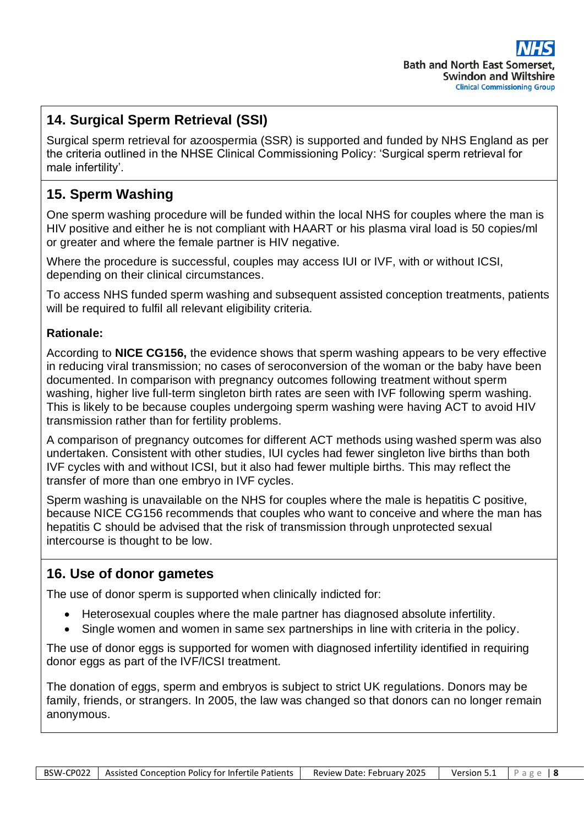# **14. Surgical Sperm Retrieval (SSI)**

Surgical sperm retrieval for azoospermia (SSR) is supported and funded by NHS England as per the criteria outlined in the NHSE Clinical Commissioning Policy: 'Surgical sperm retrieval for male infertility'.

# **15. Sperm Washing**

One sperm washing procedure will be funded within the local NHS for couples where the man is HIV positive and either he is not compliant with HAART or his plasma viral load is 50 copies/ml or greater and where the female partner is HIV negative.

Where the procedure is successful, couples may access IUI or IVF, with or without ICSI, depending on their clinical circumstances.

To access NHS funded sperm washing and subsequent assisted conception treatments, patients will be required to fulfil all relevant eligibility criteria.

### **Rationale:**

According to **NICE CG156,** the evidence shows that sperm washing appears to be very effective in reducing viral transmission; no cases of seroconversion of the woman or the baby have been documented. In comparison with pregnancy outcomes following treatment without sperm washing, higher live full-term singleton birth rates are seen with IVF following sperm washing. This is likely to be because couples undergoing sperm washing were having ACT to avoid HIV transmission rather than for fertility problems.

A comparison of pregnancy outcomes for different ACT methods using washed sperm was also undertaken. Consistent with other studies, IUI cycles had fewer singleton live births than both IVF cycles with and without ICSI, but it also had fewer multiple births. This may reflect the transfer of more than one embryo in IVF cycles.

Sperm washing is unavailable on the NHS for couples where the male is hepatitis C positive, because NICE CG156 recommends that couples who want to conceive and where the man has hepatitis C should be advised that the risk of transmission through unprotected sexual intercourse is thought to be low.

### **16. Use of donor gametes**

The use of donor sperm is supported when clinically indicted for:

- Heterosexual couples where the male partner has diagnosed absolute infertility.
- Single women and women in same sex partnerships in line with criteria in the policy.

The use of donor eggs is supported for women with diagnosed infertility identified in requiring donor eggs as part of the IVF/ICSI treatment.

The donation of eggs, sperm and embryos is subject to strict UK regulations. Donors may be family, friends, or strangers. In 2005, the law was changed so that donors can no longer remain anonymous.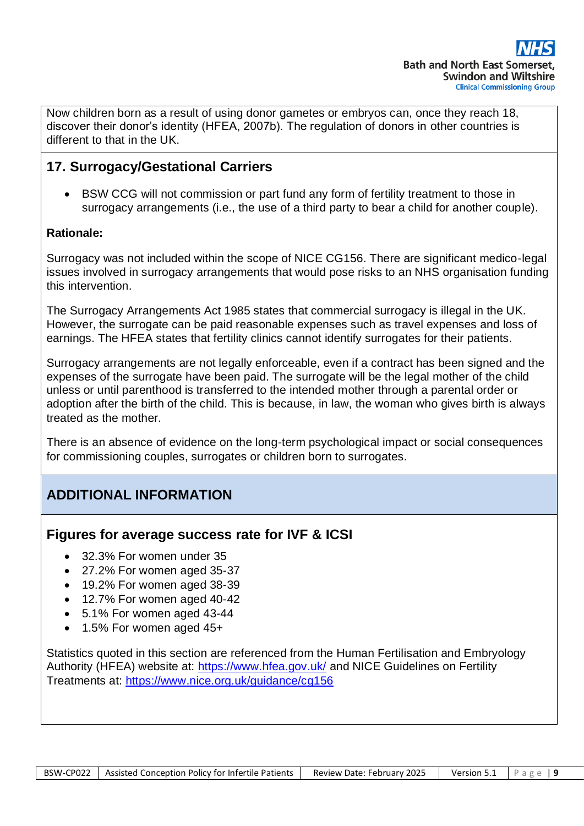Now children born as a result of using donor gametes or embryos can, once they reach 18, discover their donor's identity (HFEA, 2007b). The regulation of donors in other countries is different to that in the UK.

# **17. Surrogacy/Gestational Carriers**

• BSW CCG will not commission or part fund any form of fertility treatment to those in surrogacy arrangements (i.e., the use of a third party to bear a child for another couple).

### **Rationale:**

Surrogacy was not included within the scope of NICE CG156. There are significant medico-legal issues involved in surrogacy arrangements that would pose risks to an NHS organisation funding this intervention.

The Surrogacy Arrangements Act 1985 states that commercial surrogacy is illegal in the UK. However, the surrogate can be paid reasonable expenses such as travel expenses and loss of earnings. The HFEA states that fertility clinics cannot identify surrogates for their patients.

Surrogacy arrangements are not legally enforceable, even if a contract has been signed and the expenses of the surrogate have been paid. The surrogate will be the legal mother of the child unless or until parenthood is transferred to the intended mother through a parental order or adoption after the birth of the child. This is because, in law, the woman who gives birth is always treated as the mother.

There is an absence of evidence on the long-term psychological impact or social consequences for commissioning couples, surrogates or children born to surrogates.

# **ADDITIONAL INFORMATION**

### **Figures for average success rate for IVF & ICSI**

- 32.3% For women under 35
- 27.2% For women aged 35-37
- 19.2% For women aged 38-39
- 12.7% For women aged 40-42
- 5.1% For women aged 43-44
- 1.5% For women aged 45+

Statistics quoted in this section are referenced from the Human Fertilisation and Embryology Authority (HFEA) website at:<https://www.hfea.gov.uk/> and NICE Guidelines on Fertility Treatments at:<https://www.nice.org.uk/guidance/cg156>